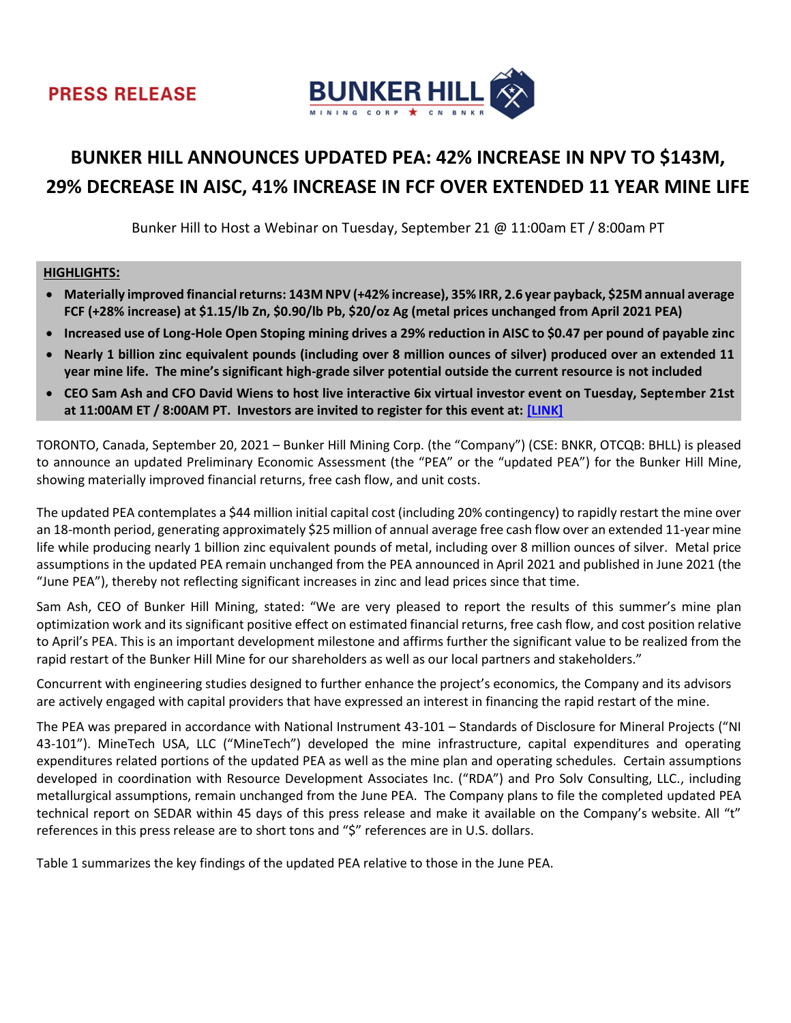

# **BUNKER HILL ANNOUNCES UPDATED PEA: 42% INCREASE IN NPV TO \$143M, 29% DECREASE IN AISC, 41% INCREASE IN FCF OVER EXTENDED 11 YEAR MINE LIFE**

Bunker Hill to Host a Webinar on Tuesday, September 21 @ 11:00am ET / 8:00am PT

# **HIGHLIGHTS:**

- **Materially improved financial returns: 143M NPV (+42% increase), 35% IRR, 2.6 year payback, \$25M annual average FCF (+28% increase) at \$1.15/lb Zn, \$0.90/lb Pb, \$20/oz Ag (metal prices unchanged from April 2021 PEA)**
- **Increased use of Long-Hole Open Stoping mining drives a 29% reduction in AISC to \$0.47 per pound of payable zinc**
- **Nearly 1 billion zinc equivalent pounds (including over 8 million ounces of silver) produced over an extended 11 year mine life. The mine's significant high-grade silver potential outside the current resource is not included**
- **CEO Sam Ash and CFO David Wiens to host live interactive 6ix virtual investor event on Tuesday, September 21st at 11:00AM ET / 8:00AM PT. Investors are invited to register for this event at: [\[LINK\]](https://my.6ix.com/XbgVt-mE)**

TORONTO, Canada, September 20, 2021 – Bunker Hill Mining Corp. (the "Company") (CSE: BNKR, OTCQB: BHLL) is pleased to announce an updated Preliminary Economic Assessment (the "PEA" or the "updated PEA") for the Bunker Hill Mine, showing materially improved financial returns, free cash flow, and unit costs.

The updated PEA contemplates a \$44 million initial capital cost (including 20% contingency) to rapidly restart the mine over an 18-month period, generating approximately \$25 million of annual average free cash flow over an extended 11-year mine life while producing nearly 1 billion zinc equivalent pounds of metal, including over 8 million ounces of silver. Metal price assumptions in the updated PEA remain unchanged from the PEA announced in April 2021 and published in June 2021 (the "June PEA"), thereby not reflecting significant increases in zinc and lead prices since that time.

Sam Ash, CEO of Bunker Hill Mining, stated: "We are very pleased to report the results of this summer's mine plan optimization work and its significant positive effect on estimated financial returns, free cash flow, and cost position relative to April's PEA. This is an important development milestone and affirms further the significant value to be realized from the rapid restart of the Bunker Hill Mine for our shareholders as well as our local partners and stakeholders."

Concurrent with engineering studies designed to further enhance the project's economics, the Company and its advisors are actively engaged with capital providers that have expressed an interest in financing the rapid restart of the mine.

The PEA was prepared in accordance with National Instrument 43-101 – Standards of Disclosure for Mineral Projects ("NI 43-101"). MineTech USA, LLC ("MineTech") developed the mine infrastructure, capital expenditures and operating expenditures related portions of the updated PEA as well as the mine plan and operating schedules. Certain assumptions developed in coordination with Resource Development Associates Inc. ("RDA") and Pro Solv Consulting, LLC., including metallurgical assumptions, remain unchanged from the June PEA. The Company plans to file the completed updated PEA technical report on SEDAR within 45 days of this press release and make it available on the Company's website. All "t" references in this press release are to short tons and "\$" references are in U.S. dollars.

Table 1 summarizes the key findings of the updated PEA relative to those in the June PEA.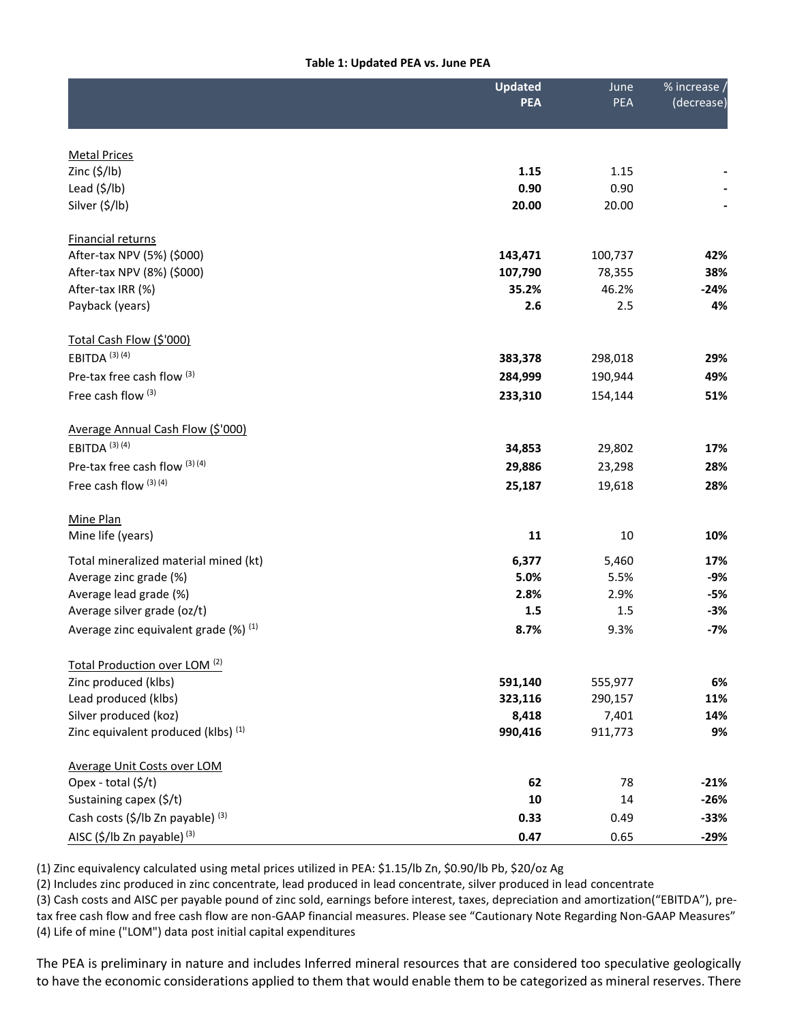#### **Table 1: Updated PEA vs. June PEA**

|                                                     | <b>Updated</b> | June    | % increase / |
|-----------------------------------------------------|----------------|---------|--------------|
|                                                     | <b>PEA</b>     | PEA     | (decrease)   |
|                                                     |                |         |              |
| <b>Metal Prices</b><br>Zinc $(5/1b)$                | 1.15           | 1.15    |              |
| Lead $(\frac{2}{3}$ /lb)                            | 0.90           | 0.90    |              |
| Silver (\$/lb)                                      | 20.00          | 20.00   |              |
| <b>Financial returns</b>                            |                |         |              |
| After-tax NPV (5%) (\$000)                          | 143,471        | 100,737 | 42%          |
| After-tax NPV (8%) (\$000)                          | 107,790        | 78,355  | 38%          |
| After-tax IRR (%)                                   | 35.2%          | 46.2%   | $-24%$       |
| Payback (years)                                     | 2.6            | 2.5     | 4%           |
| Total Cash Flow (\$'000)                            |                |         |              |
| EBITDA $(3)$ $(4)$                                  | 383,378        | 298,018 | 29%          |
| Pre-tax free cash flow (3)                          | 284,999        | 190,944 | 49%          |
| Free cash flow (3)                                  | 233,310        | 154,144 | 51%          |
| Average Annual Cash Flow (\$'000)                   |                |         |              |
| EBITDA <sup>(3)(4)</sup>                            | 34,853         | 29,802  | 17%          |
| Pre-tax free cash flow (3) (4)                      | 29,886         | 23,298  | 28%          |
| Free cash flow (3) (4)                              | 25,187         | 19,618  | 28%          |
| Mine Plan                                           |                |         |              |
| Mine life (years)                                   | 11             | 10      | 10%          |
| Total mineralized material mined (kt)               | 6,377          | 5,460   | 17%          |
| Average zinc grade (%)                              | 5.0%           | 5.5%    | $-9%$        |
| Average lead grade (%)                              | 2.8%           | 2.9%    | $-5%$        |
| Average silver grade (oz/t)                         | 1.5            | 1.5     | $-3%$        |
| Average zinc equivalent grade $(\%)$ <sup>(1)</sup> | 8.7%           | 9.3%    | $-7%$        |
| Total Production over LOM <sup>(2)</sup>            |                |         |              |
| Zinc produced (klbs)                                | 591,140        | 555,977 | 6%           |
| Lead produced (klbs)                                | 323,116        | 290,157 | 11%          |
| Silver produced (koz)                               | 8,418          | 7,401   | 14%          |
| Zinc equivalent produced (klbs) (1)                 | 990,416        | 911,773 | 9%           |
| Average Unit Costs over LOM                         |                |         |              |
| Opex - total (\$/t)                                 | 62             | 78      | $-21%$       |
| Sustaining capex (\$/t)                             | 10             | 14      | $-26%$       |
| Cash costs (\$/lb Zn payable) (3)                   | 0.33           | 0.49    | $-33%$       |
| AISC $(\frac{5}{lb}$ Zn payable) (3)                | 0.47           | 0.65    | $-29%$       |

(1) Zinc equivalency calculated using metal prices utilized in PEA: \$1.15/lb Zn, \$0.90/lb Pb, \$20/oz Ag

(2) Includes zinc produced in zinc concentrate, lead produced in lead concentrate, silver produced in lead concentrate

(3) Cash costs and AISC per payable pound of zinc sold, earnings before interest, taxes, depreciation and amortization("EBITDA"), pretax free cash flow and free cash flow are non-GAAP financial measures. Please see "Cautionary Note Regarding Non-GAAP Measures" (4) Life of mine ("LOM") data post initial capital expenditures

The PEA is preliminary in nature and includes Inferred mineral resources that are considered too speculative geologically to have the economic considerations applied to them that would enable them to be categorized as mineral reserves. There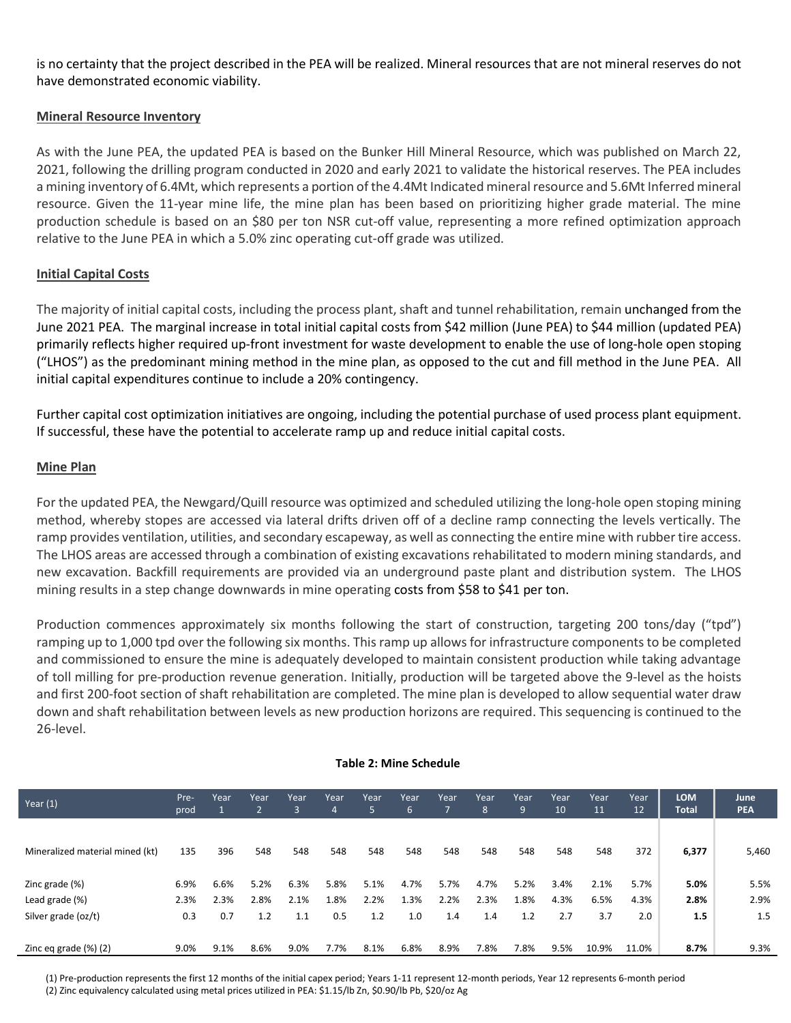is no certainty that the project described in the PEA will be realized. Mineral resources that are not mineral reserves do not have demonstrated economic viability.

# **Mineral Resource Inventory**

As with the June PEA, the updated PEA is based on the Bunker Hill Mineral Resource, which was published on March 22, 2021, following the drilling program conducted in 2020 and early 2021 to validate the historical reserves. The PEA includes a mining inventory of 6.4Mt, which represents a portion of the 4.4Mt Indicated mineral resource and 5.6Mt Inferred mineral resource. Given the 11-year mine life, the mine plan has been based on prioritizing higher grade material. The mine production schedule is based on an \$80 per ton NSR cut-off value, representing a more refined optimization approach relative to the June PEA in which a 5.0% zinc operating cut-off grade was utilized.

# **Initial Capital Costs**

The majority of initial capital costs, including the process plant, shaft and tunnel rehabilitation, remain unchanged from the June 2021 PEA. The marginal increase in total initial capital costs from \$42 million (June PEA) to \$44 million (updated PEA) primarily reflects higher required up-front investment for waste development to enable the use of long-hole open stoping ("LHOS") as the predominant mining method in the mine plan, as opposed to the cut and fill method in the June PEA. All initial capital expenditures continue to include a 20% contingency.

Further capital cost optimization initiatives are ongoing, including the potential purchase of used process plant equipment. If successful, these have the potential to accelerate ramp up and reduce initial capital costs.

# **Mine Plan**

For the updated PEA, the Newgard/Quill resource was optimized and scheduled utilizing the long-hole open stoping mining method, whereby stopes are accessed via lateral drifts driven off of a decline ramp connecting the levels vertically. The ramp provides ventilation, utilities, and secondary escapeway, as well as connecting the entire mine with rubber tire access. The LHOS areas are accessed through a combination of existing excavations rehabilitated to modern mining standards, and new excavation. Backfill requirements are provided via an underground paste plant and distribution system. The LHOS mining results in a step change downwards in mine operating costs from \$58 to \$41 per ton.

Production commences approximately six months following the start of construction, targeting 200 tons/day ("tpd") ramping up to 1,000 tpd over the following six months. This ramp up allows for infrastructure components to be completed and commissioned to ensure the mine is adequately developed to maintain consistent production while taking advantage of toll milling for pre-production revenue generation. Initially, production will be targeted above the 9-level as the hoists and first 200-foot section of shaft rehabilitation are completed. The mine plan is developed to allow sequential water draw down and shaft rehabilitation between levels as new production horizons are required. This sequencing is continued to the 26-level.

| Year $(1)$                      | Pre-<br>prod | Year | Year | Year | Year<br>4 | Year<br>5. | Year<br>6 | Year | Year<br>8 | Year<br>9 | Year<br>10 | Year<br>11 | Year<br>12 | <b>LOM</b><br><b>Total</b> | June<br><b>PEA</b> |
|---------------------------------|--------------|------|------|------|-----------|------------|-----------|------|-----------|-----------|------------|------------|------------|----------------------------|--------------------|
|                                 |              |      |      |      |           |            |           |      |           |           |            |            |            |                            |                    |
| Mineralized material mined (kt) | 135          | 396  | 548  | 548  | 548       | 548        | 548       | 548  | 548       | 548       | 548        | 548        | 372        | 6,377                      | 5,460              |
|                                 |              |      |      |      |           |            |           |      |           |           |            |            |            |                            |                    |
| Zinc grade (%)                  | 6.9%         | 6.6% | 5.2% | 6.3% | 5.8%      | 5.1%       | 4.7%      | 5.7% | 4.7%      | 5.2%      | 3.4%       | 2.1%       | 5.7%       | 5.0%                       | 5.5%               |
| Lead grade (%)                  | 2.3%         | 2.3% | 2.8% | 2.1% | 1.8%      | 2.2%       | 1.3%      | 2.2% | 2.3%      | 1.8%      | 4.3%       | 6.5%       | 4.3%       | 2.8%                       | 2.9%               |
| Silver grade (oz/t)             | 0.3          | 0.7  | 1.2  | 1.1  | 0.5       | 1.2        | 1.0       | 1.4  | 1.4       | 1.2       | 2.7        | 3.7        | 2.0        | 1.5                        | 1.5                |
|                                 |              |      |      |      |           |            |           |      |           |           |            |            |            |                            |                    |
| Zinc eq grade $(\%)$ (2)        | 9.0%         | 9.1% | 8.6% | 9.0% | 7.7%      | 8.1%       | 6.8%      | 8.9% | 7.8%      | 7.8%      | 9.5%       | 10.9%      | 11.0%      | 8.7%                       | 9.3%               |

#### **Table 2: Mine Schedule**

(1) Pre-production represents the first 12 months of the initial capex period; Years 1-11 represent 12-month periods, Year 12 represents 6-month period (2) Zinc equivalency calculated using metal prices utilized in PEA: \$1.15/lb Zn, \$0.90/lb Pb, \$20/oz Ag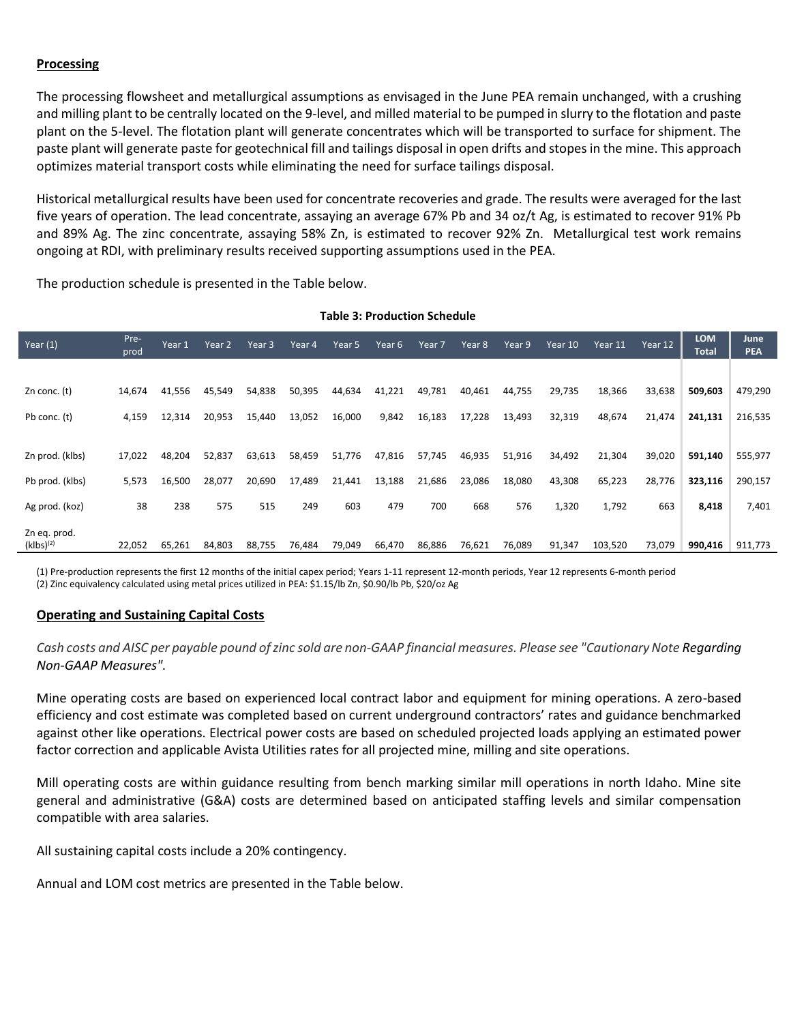# **Processing**

The processing flowsheet and metallurgical assumptions as envisaged in the June PEA remain unchanged, with a crushing and milling plant to be centrally located on the 9-level, and milled material to be pumped in slurry to the flotation and paste plant on the 5-level. The flotation plant will generate concentrates which will be transported to surface for shipment. The paste plant will generate paste for geotechnical fill and tailings disposal in open drifts and stopes in the mine. This approach optimizes material transport costs while eliminating the need for surface tailings disposal.

Historical metallurgical results have been used for concentrate recoveries and grade. The results were averaged for the last five years of operation. The lead concentrate, assaying an average 67% Pb and 34 oz/t Ag, is estimated to recover 91% Pb and 89% Ag. The zinc concentrate, assaying 58% Zn, is estimated to recover 92% Zn. Metallurgical test work remains ongoing at RDI, with preliminary results received supporting assumptions used in the PEA.

The production schedule is presented in the Table below.

| Year $(1)$                     | Pre-<br>prod | Year 1 | Year 2 | Year 3 | Year 4 | Year 5 | Year 6 | Year 7 | Year 8 | Year 9 | Year 10 | Year 11 | Year 12 | <b>LOM</b><br><b>Total</b> | June<br><b>PEA</b> |
|--------------------------------|--------------|--------|--------|--------|--------|--------|--------|--------|--------|--------|---------|---------|---------|----------------------------|--------------------|
|                                |              |        |        |        |        |        |        |        |        |        |         |         |         |                            |                    |
| $Zn$ conc. $(t)$               | 14,674       | 41,556 | 45,549 | 54,838 | 50,395 | 44,634 | 41,221 | 49,781 | 40,461 | 44,755 | 29,735  | 18,366  | 33,638  | 509,603                    | 479,290            |
| Pb conc. (t)                   | 4,159        | 12,314 | 20,953 | 15,440 | 13,052 | 16,000 | 9,842  | 16,183 | 17,228 | 13,493 | 32,319  | 48,674  | 21,474  | 241,131                    | 216,535            |
|                                |              |        |        |        |        |        |        |        |        |        |         |         |         |                            |                    |
| Zn prod. (klbs)                | 17,022       | 48,204 | 52,837 | 63,613 | 58,459 | 51,776 | 47,816 | 57,745 | 46,935 | 51,916 | 34,492  | 21,304  | 39,020  | 591,140                    | 555,977            |
| Pb prod. (klbs)                | 5,573        | 16,500 | 28,077 | 20,690 | 17,489 | 21,441 | 13,188 | 21,686 | 23,086 | 18,080 | 43,308  | 65,223  | 28,776  | 323,116                    | 290,157            |
| Ag prod. (koz)                 | 38           | 238    | 575    | 515    | 249    | 603    | 479    | 700    | 668    | 576    | 1,320   | 1,792   | 663     | 8,418                      | 7,401              |
|                                |              |        |        |        |        |        |        |        |        |        |         |         |         |                            |                    |
| Zn eq. prod.<br>$(klbs)^{(2)}$ | 22,052       | 65,261 | 84,803 | 88,755 | 76,484 | 79,049 | 66,470 | 86,886 | 76,621 | 76,089 | 91,347  | 103,520 | 73,079  | 990.416                    | 911,773            |

#### **Table 3: Production Schedule**

(1) Pre-production represents the first 12 months of the initial capex period; Years 1-11 represent 12-month periods, Year 12 represents 6-month period (2) Zinc equivalency calculated using metal prices utilized in PEA: \$1.15/lb Zn, \$0.90/lb Pb, \$20/oz Ag

## **Operating and Sustaining Capital Costs**

*Cash costs and AISC per payable pound of zinc sold are non-GAAP financial measures. Please see "Cautionary Note Regarding Non-GAAP Measures".*

Mine operating costs are based on experienced local contract labor and equipment for mining operations. A zero-based efficiency and cost estimate was completed based on current underground contractors' rates and guidance benchmarked against other like operations. Electrical power costs are based on scheduled projected loads applying an estimated power factor correction and applicable Avista Utilities rates for all projected mine, milling and site operations.

Mill operating costs are within guidance resulting from bench marking similar mill operations in north Idaho. Mine site general and administrative (G&A) costs are determined based on anticipated staffing levels and similar compensation compatible with area salaries.

All sustaining capital costs include a 20% contingency.

Annual and LOM cost metrics are presented in the Table below.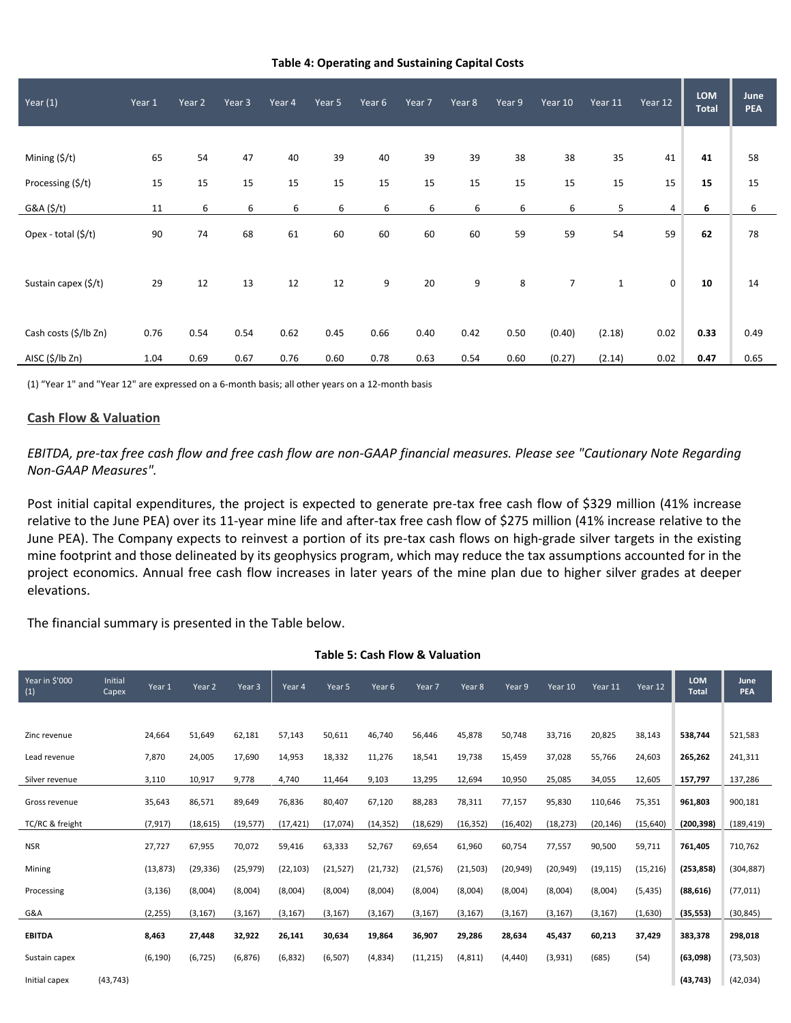**Table 4: Operating and Sustaining Capital Costs**

| Year $(1)$             | Year 1 | Year 2 | Year 3 | Year 4 | Year 5 | Year 6 | Year 7 | Year 8 | Year 9 | Year 10        | Year 11      | $\sqrt{2}$ Year 12 | <b>LOM</b><br><b>Total</b> | June<br><b>PEA</b> |
|------------------------|--------|--------|--------|--------|--------|--------|--------|--------|--------|----------------|--------------|--------------------|----------------------------|--------------------|
|                        |        |        |        |        |        |        |        |        |        |                |              |                    |                            |                    |
| Mining $(\frac{5}{t})$ | 65     | 54     | 47     | 40     | 39     | 40     | 39     | 39     | 38     | 38             | 35           | 41                 | 41                         | 58                 |
| Processing (\$/t)      | 15     | 15     | 15     | 15     | 15     | 15     | 15     | 15     | 15     | 15             | 15           | 15                 | 15                         | 15                 |
| G&A (\$/t)             | 11     | 6      | 6      | 6      | 6      | 6      | 6      | 6      | 6      | 6              | 5            | 4                  | 6                          | 6                  |
| Opex - total (\$/t)    | 90     | 74     | 68     | 61     | 60     | 60     | 60     | 60     | 59     | 59             | 54           | 59                 | 62                         | 78                 |
| Sustain capex (\$/t)   | 29     | 12     | 13     | 12     | 12     | 9      | 20     | 9      | 8      | $\overline{7}$ | $\mathbf{1}$ | $\mathsf 0$        | 10                         | 14                 |
| Cash costs (\$/lb Zn)  | 0.76   | 0.54   | 0.54   | 0.62   | 0.45   | 0.66   | 0.40   | 0.42   | 0.50   | (0.40)         | (2.18)       | 0.02               | 0.33                       | 0.49               |
| AISC (\$/lb Zn)        | 1.04   | 0.69   | 0.67   | 0.76   | 0.60   | 0.78   | 0.63   | 0.54   | 0.60   | (0.27)         | (2.14)       | 0.02               | 0.47                       | 0.65               |

(1) "Year 1" and "Year 12" are expressed on a 6-month basis; all other years on a 12-month basis

#### **Cash Flow & Valuation**

# *EBITDA, pre-tax free cash flow and free cash flow are non-GAAP financial measures. Please see "Cautionary Note Regarding Non-GAAP Measures".*

Post initial capital expenditures, the project is expected to generate pre-tax free cash flow of \$329 million (41% increase relative to the June PEA) over its 11-year mine life and after-tax free cash flow of \$275 million (41% increase relative to the June PEA). The Company expects to reinvest a portion of its pre-tax cash flows on high-grade silver targets in the existing mine footprint and those delineated by its geophysics program, which may reduce the tax assumptions accounted for in the project economics. Annual free cash flow increases in later years of the mine plan due to higher silver grades at deeper elevations.

The financial summary is presented in the Table below.

#### **Table 5: Cash Flow & Valuation**

| Year in \$'000<br>(1) | Initial<br>Capex | Year 1    | Year 2    | Year 3    | Year 4    | Year 5    | Year 6    | Year 7    | Year 8    | Year 9    | Year 10   | Year 11   | Year 12   | <b>LOM</b><br><b>Total</b> | <b>June</b><br>PEA |
|-----------------------|------------------|-----------|-----------|-----------|-----------|-----------|-----------|-----------|-----------|-----------|-----------|-----------|-----------|----------------------------|--------------------|
|                       |                  |           |           |           |           |           |           |           |           |           |           |           |           |                            |                    |
| Zinc revenue          |                  | 24,664    | 51,649    | 62,181    | 57,143    | 50,611    | 46,740    | 56,446    | 45,878    | 50,748    | 33,716    | 20,825    | 38,143    | 538,744                    | 521,583            |
| Lead revenue          |                  | 7,870     | 24,005    | 17,690    | 14,953    | 18,332    | 11,276    | 18,541    | 19,738    | 15,459    | 37,028    | 55,766    | 24,603    | 265,262                    | 241,311            |
| Silver revenue        |                  | 3,110     | 10,917    | 9,778     | 4,740     | 11,464    | 9,103     | 13,295    | 12,694    | 10,950    | 25,085    | 34,055    | 12,605    | 157,797                    | 137,286            |
| Gross revenue         |                  | 35,643    | 86,571    | 89,649    | 76,836    | 80,407    | 67,120    | 88,283    | 78,311    | 77,157    | 95,830    | 110,646   | 75,351    | 961,803                    | 900,181            |
| TC/RC & freight       |                  | (7, 917)  | (18, 615) | (19, 577) | (17, 421) | (17,074)  | (14, 352) | (18, 629) | (16, 352) | (16, 402) | (18, 273) | (20, 146) | (15, 640) | (200, 398)                 | (189, 419)         |
| <b>NSR</b>            |                  | 27,727    | 67,955    | 70,072    | 59,416    | 63,333    | 52,767    | 69,654    | 61,960    | 60,754    | 77,557    | 90,500    | 59,711    | 761,405                    | 710,762            |
| Mining                |                  | (13, 873) | (29, 336) | (25, 979) | (22, 103) | (21, 527) | (21, 732) | (21, 576) | (21, 503) | (20, 949) | (20, 949) | (19, 115) | (15, 216) | (253, 858)                 | (304, 887)         |
| Processing            |                  | (3, 136)  | (8,004)   | (8,004)   | (8,004)   | (8,004)   | (8,004)   | (8,004)   | (8,004)   | (8,004)   | (8,004)   | (8,004)   | (5, 435)  | (88, 616)                  | (77, 011)          |
| G&A                   |                  | (2, 255)  | (3, 167)  | (3, 167)  | (3, 167)  | (3, 167)  | (3, 167)  | (3, 167)  | (3, 167)  | (3, 167)  | (3, 167)  | (3, 167)  | (1,630)   | (35, 553)                  | (30, 845)          |
| <b>EBITDA</b>         |                  | 8,463     | 27,448    | 32,922    | 26,141    | 30,634    | 19,864    | 36,907    | 29,286    | 28,634    | 45,437    | 60,213    | 37,429    | 383,378                    | 298,018            |
| Sustain capex         |                  | (6, 190)  | (6, 725)  | (6, 876)  | (6, 832)  | (6, 507)  | (4,834)   | (11, 215) | (4, 811)  | (4, 440)  | (3,931)   | (685)     | (54)      | (63,098)                   | (73, 503)          |
| Initial capex         | (43, 743)        |           |           |           |           |           |           |           |           |           |           |           |           | (43, 743)                  | (42, 034)          |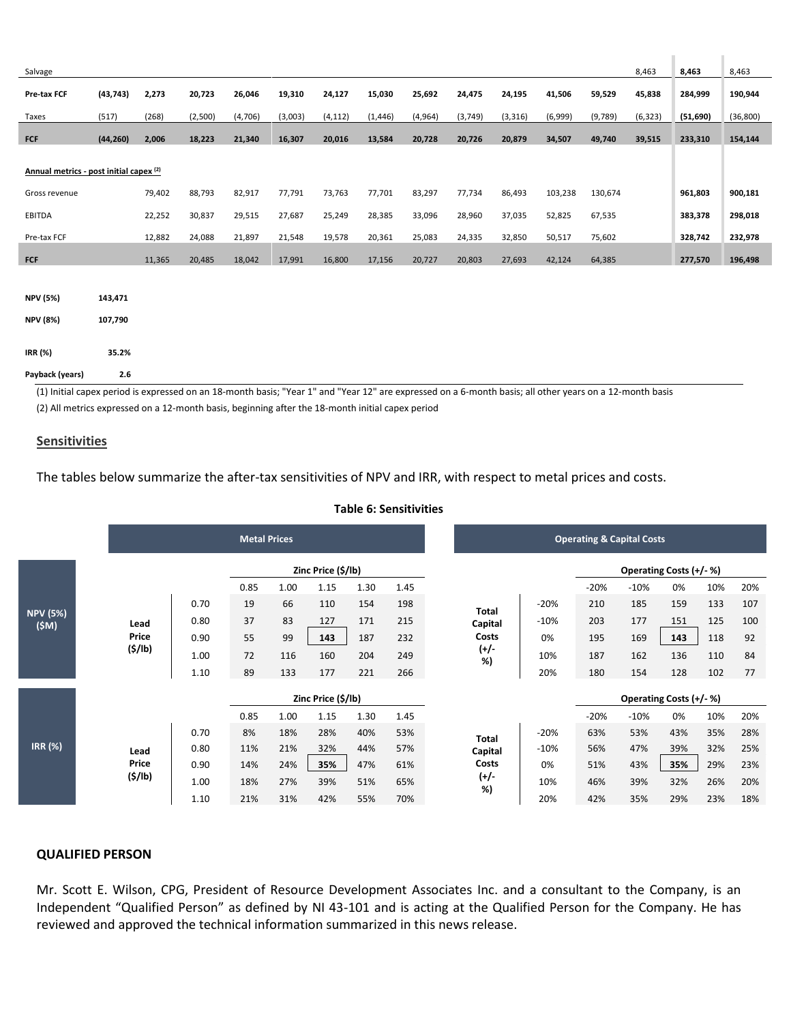| Salvage                                 |           |        |         |         |         |          |          |          |         |          |         |         | 8,463    | 8,463     | 8,463     |
|-----------------------------------------|-----------|--------|---------|---------|---------|----------|----------|----------|---------|----------|---------|---------|----------|-----------|-----------|
| Pre-tax FCF                             | (43, 743) | 2,273  | 20,723  | 26,046  | 19,310  | 24,127   | 15,030   | 25,692   | 24,475  | 24,195   | 41,506  | 59,529  | 45,838   | 284,999   | 190,944   |
| Taxes                                   | (517)     | (268)  | (2,500) | (4,706) | (3,003) | (4, 112) | (1, 446) | (4, 964) | (3,749) | (3, 316) | (6,999) | (9,789) | (6, 323) | (51, 690) | (36, 800) |
| <b>FCF</b>                              | (44, 260) | 2,006  | 18,223  | 21,340  | 16,307  | 20,016   | 13,584   | 20,728   | 20,726  | 20,879   | 34,507  | 49,740  | 39,515   | 233,310   | 154,144   |
| Annual metrics - post initial capex (2) |           |        |         |         |         |          |          |          |         |          |         |         |          |           |           |
| Gross revenue                           |           | 79,402 | 88,793  | 82,917  | 77,791  | 73,763   | 77,701   | 83,297   | 77,734  | 86,493   | 103,238 | 130,674 |          | 961,803   | 900,181   |
| <b>EBITDA</b>                           |           | 22,252 | 30,837  | 29,515  | 27,687  | 25,249   | 28,385   | 33,096   | 28,960  | 37,035   | 52,825  | 67,535  |          | 383,378   | 298,018   |
| Pre-tax FCF                             |           | 12,882 | 24,088  | 21,897  | 21,548  | 19,578   | 20,361   | 25,083   | 24,335  | 32,850   | 50,517  | 75,602  |          | 328,742   | 232,978   |
| <b>FCF</b>                              |           | 11,365 | 20,485  | 18,042  | 17,991  | 16,800   | 17,156   | 20,727   | 20,803  | 27,693   | 42,124  | 64,385  |          | 277,570   | 196,498   |
|                                         |           |        |         |         |         |          |          |          |         |          |         |         |          |           |           |
| <b>NPV (5%)</b>                         | 143,471   |        |         |         |         |          |          |          |         |          |         |         |          |           |           |
| <b>NPV (8%)</b>                         | 107,790   |        |         |         |         |          |          |          |         |          |         |         |          |           |           |
| IRR (%)                                 | 35.2%     |        |         |         |         |          |          |          |         |          |         |         |          |           |           |
| Payback (years)                         | 2.6       |        |         |         |         |          |          |          |         |          |         |         |          |           |           |

(1) Initial capex period is expressed on an 18-month basis; "Year 1" and "Year 12" are expressed on a 6-month basis; all other years on a 12-month basis (2) All metrics expressed on a 12-month basis, beginning after the 18-month initial capex period

# **Sensitivities**

The tables below summarize the after-tax sensitivities of NPV and IRR, with respect to metal prices and costs.

|                         |                     |      | <b>Metal Prices</b> |      |                    |      |      |              |        | <b>Operating &amp; Capital Costs</b> |                        |     |     |     |
|-------------------------|---------------------|------|---------------------|------|--------------------|------|------|--------------|--------|--------------------------------------|------------------------|-----|-----|-----|
|                         |                     |      |                     |      | Zinc Price (\$/lb) |      |      |              |        |                                      | Operating Costs (+/-%) |     |     |     |
|                         |                     |      | 0.85                | 1.00 | 1.15               | 1.30 | 1.45 |              |        | $-20%$                               | $-10%$                 | 0%  | 10% | 20% |
|                         |                     | 0.70 | 19                  | 66   | 110                | 154  | 198  | Total        | $-20%$ | 210                                  | 185                    | 159 | 133 | 107 |
| <b>NPV (5%)</b><br>(SM) | Lead                | 0.80 | 37                  | 83   | 127                | 171  | 215  | Capital      | $-10%$ | 203                                  | 177                    | 151 | 125 | 100 |
|                         | Price               | 0.90 | 55                  | 99   | 143                | 187  | 232  | Costs        | 0%     | 195                                  | 169                    | 143 | 118 | 92  |
|                         | (5/1 <sub>b</sub> ) | 1.00 | 72                  | 116  | 160                | 204  | 249  | (1)<br>%)    | 10%    | 187                                  | 162                    | 136 | 110 | 84  |
|                         |                     | 1.10 | 89                  | 133  | 177                | 221  | 266  |              | 20%    | 180                                  | 154                    | 128 | 102 | 77  |
|                         |                     |      |                     |      | Zinc Price (\$/lb) |      |      |              |        |                                      | Operating Costs (+/-%) |     |     |     |
|                         |                     |      | 0.85                | 1.00 | 1.15               | 1.30 | 1.45 |              |        | $-20%$                               | $-10%$                 | 0%  | 10% | 20% |
|                         |                     | 0.70 | 8%                  | 18%  | 28%                | 40%  | 53%  | <b>Total</b> | $-20%$ | 63%                                  | 53%                    | 43% | 35% | 28% |
| <b>IRR (%)</b>          | Lead                | 0.80 | 11%                 | 21%  | 32%                | 44%  | 57%  | Capital      | $-10%$ | 56%                                  | 47%                    | 39% | 32% | 25% |
|                         | Price               | 0.90 | 14%                 | 24%  | 35%                | 47%  | 61%  | Costs        | 0%     | 51%                                  | 43%                    | 35% | 29% | 23% |
|                         | (5/1 <sub>b</sub> ) | 1.00 | 18%                 | 27%  | 39%                | 51%  | 65%  | (+/-<br>%)   | 10%    | 46%                                  | 39%                    | 32% | 26% | 20% |
|                         |                     | 1.10 | 21%                 | 31%  | 42%                | 55%  | 70%  |              | 20%    | 42%                                  | 35%                    | 29% | 23% | 18% |

## **Table 6: Sensitivities**

#### **QUALIFIED PERSON**

Mr. Scott E. Wilson, CPG, President of Resource Development Associates Inc. and a consultant to the Company, is an Independent "Qualified Person" as defined by NI 43-101 and is acting at the Qualified Person for the Company. He has reviewed and approved the technical information summarized in this news release.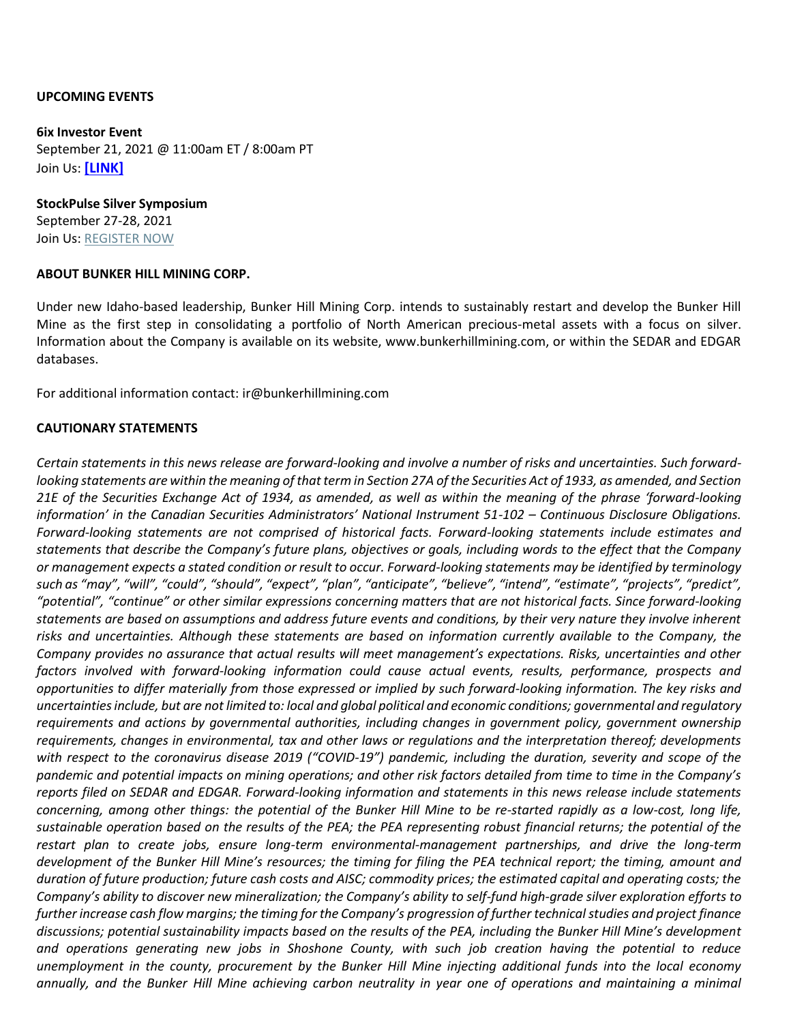## **UPCOMING EVENTS**

**6ix Investor Event** September 21, 2021 @ 11:00am ET / 8:00am PT Join Us: **[\[LINK\]](https://my.6ix.com/XbgVt-mE)**

**StockPulse Silver Symposium** September 27-28, 2021 Join Us: [REGISTER NOW](https://www.cdasilvershow.com/)

# **ABOUT BUNKER HILL MINING CORP.**

Under new Idaho-based leadership, Bunker Hill Mining Corp. intends to sustainably restart and develop the Bunker Hill Mine as the first step in consolidating a portfolio of North American precious-metal assets with a focus on silver. Information about the Company is available on its website, www.bunkerhillmining.com, or within the SEDAR and EDGAR databases.

For additional information contact: ir@bunkerhillmining.com

# **CAUTIONARY STATEMENTS**

*Certain statements in this news release are forward-looking and involve a number of risks and uncertainties. Such forwardlooking statements are within the meaning of that term in Section 27A of the Securities Act of 1933, as amended, and Section 21E of the Securities Exchange Act of 1934, as amended, as well as within the meaning of the phrase 'forward-looking information' in the Canadian Securities Administrators' National Instrument 51-102 – Continuous Disclosure Obligations. Forward-looking statements are not comprised of historical facts. Forward-looking statements include estimates and statements that describe the Company's future plans, objectives or goals, including words to the effect that the Company or management expects a stated condition or result to occur. Forward-looking statements may be identified by terminology such as "may", "will", "could", "should", "expect", "plan", "anticipate", "believe", "intend", "estimate", "projects", "predict", "potential", "continue" or other similar expressions concerning matters that are not historical facts. Since forward-looking statements are based on assumptions and address future events and conditions, by their very nature they involve inherent risks and uncertainties. Although these statements are based on information currently available to the Company, the Company provides no assurance that actual results will meet management's expectations. Risks, uncertainties and other factors involved with forward-looking information could cause actual events, results, performance, prospects and opportunities to differ materially from those expressed or implied by such forward-looking information. The key risks and uncertainties include, but are not limited to: local and global political and economic conditions; governmental and regulatory requirements and actions by governmental authorities, including changes in government policy, government ownership requirements, changes in environmental, tax and other laws or regulations and the interpretation thereof; developments with respect to the coronavirus disease 2019 ("COVID-19") pandemic, including the duration, severity and scope of the pandemic and potential impacts on mining operations; and other risk factors detailed from time to time in the Company's reports filed on SEDAR and EDGAR. Forward-looking information and statements in this news release include statements concerning, among other things: the potential of the Bunker Hill Mine to be re-started rapidly as a low-cost, long life, sustainable operation based on the results of the PEA; the PEA representing robust financial returns; the potential of the restart plan to create jobs, ensure long-term environmental-management partnerships, and drive the long-term development of the Bunker Hill Mine's resources; the timing for filing the PEA technical report; the timing, amount and duration of future production; future cash costs and AISC; commodity prices; the estimated capital and operating costs; the Company's ability to discover new mineralization; the Company's ability to self-fund high-grade silver exploration efforts to further increase cash flow margins; the timing for the Company's progression of further technical studies and project finance discussions; potential sustainability impacts based on the results of the PEA, including the Bunker Hill Mine's development and operations generating new jobs in Shoshone County, with such job creation having the potential to reduce unemployment in the county, procurement by the Bunker Hill Mine injecting additional funds into the local economy*  annually, and the Bunker Hill Mine achieving carbon neutrality in year one of operations and maintaining a minimal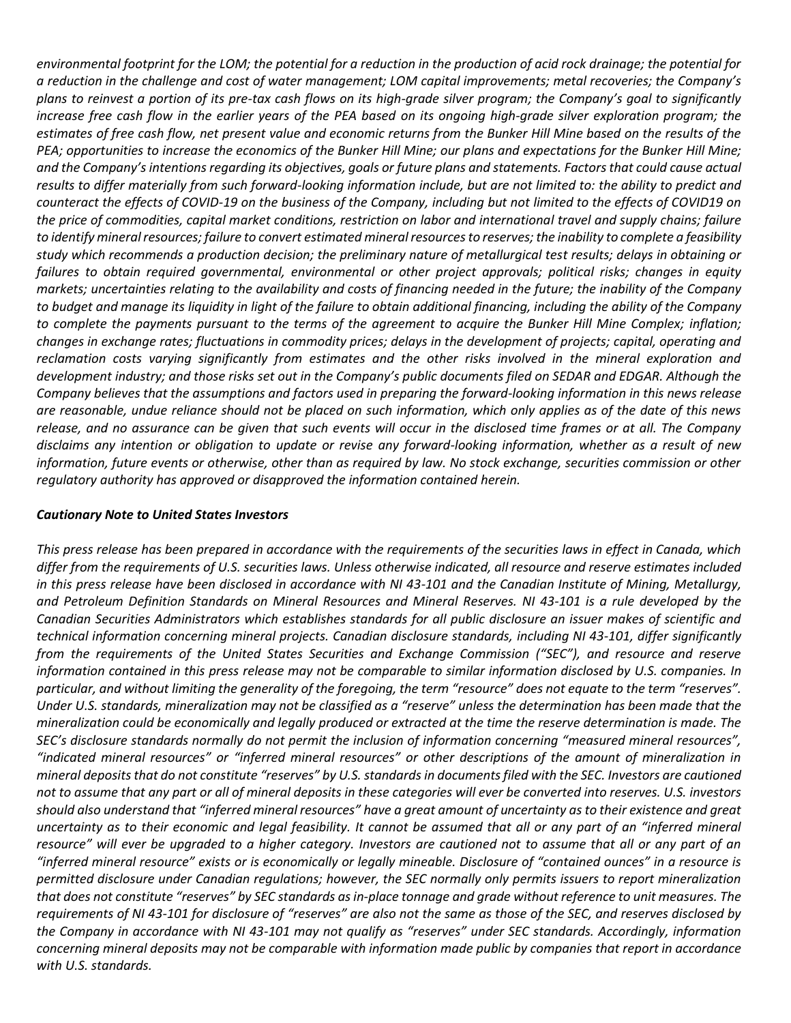*environmental footprint for the LOM; the potential for a reduction in the production of acid rock drainage; the potential for a reduction in the challenge and cost of water management; LOM capital improvements; metal recoveries; the Company's plans to reinvest a portion of its pre-tax cash flows on its high-grade silver program; the Company's goal to significantly increase free cash flow in the earlier years of the PEA based on its ongoing high-grade silver exploration program; the estimates of free cash flow, net present value and economic returns from the Bunker Hill Mine based on the results of the*  PEA; opportunities to increase the economics of the Bunker Hill Mine; our plans and expectations for the Bunker Hill Mine; *and the Company's intentions regarding its objectives, goals or future plans and statements. Factors that could cause actual results to differ materially from such forward-looking information include, but are not limited to: the ability to predict and counteract the effects of COVID-19 on the business of the Company, including but not limited to the effects of COVID19 on the price of commodities, capital market conditions, restriction on labor and international travel and supply chains; failure to identify mineral resources; failure to convert estimated mineral resources to reserves; the inability to complete a feasibility study which recommends a production decision; the preliminary nature of metallurgical test results; delays in obtaining or failures to obtain required governmental, environmental or other project approvals; political risks; changes in equity markets; uncertainties relating to the availability and costs of financing needed in the future; the inability of the Company to budget and manage its liquidity in light of the failure to obtain additional financing, including the ability of the Company*  to complete the payments pursuant to the terms of the agreement to acquire the Bunker Hill Mine Complex; inflation; *changes in exchange rates; fluctuations in commodity prices; delays in the development of projects; capital, operating and reclamation costs varying significantly from estimates and the other risks involved in the mineral exploration and development industry; and those risks set out in the Company's public documents filed on SEDAR and EDGAR. Although the Company believes that the assumptions and factors used in preparing the forward-looking information in this news release are reasonable, undue reliance should not be placed on such information, which only applies as of the date of this news release, and no assurance can be given that such events will occur in the disclosed time frames or at all. The Company disclaims any intention or obligation to update or revise any forward-looking information, whether as a result of new information, future events or otherwise, other than as required by law. No stock exchange, securities commission or other regulatory authority has approved or disapproved the information contained herein.*

# *Cautionary Note to United States Investors*

*This press release has been prepared in accordance with the requirements of the securities laws in effect in Canada, which differ from the requirements of U.S. securities laws. Unless otherwise indicated, all resource and reserve estimates included in this press release have been disclosed in accordance with NI 43-101 and the Canadian Institute of Mining, Metallurgy, and Petroleum Definition Standards on Mineral Resources and Mineral Reserves. NI 43-101 is a rule developed by the Canadian Securities Administrators which establishes standards for all public disclosure an issuer makes of scientific and technical information concerning mineral projects. Canadian disclosure standards, including NI 43-101, differ significantly from the requirements of the United States Securities and Exchange Commission ("SEC"), and resource and reserve information contained in this press release may not be comparable to similar information disclosed by U.S. companies. In particular, and without limiting the generality of the foregoing, the term "resource" does not equate to the term "reserves". Under U.S. standards, mineralization may not be classified as a "reserve" unless the determination has been made that the mineralization could be economically and legally produced or extracted at the time the reserve determination is made. The SEC's disclosure standards normally do not permit the inclusion of information concerning "measured mineral resources", "indicated mineral resources" or "inferred mineral resources" or other descriptions of the amount of mineralization in mineral deposits that do not constitute "reserves" by U.S. standards in documents filed with the SEC. Investors are cautioned not to assume that any part or all of mineral deposits in these categories will ever be converted into reserves. U.S. investors should also understand that "inferred mineral resources" have a great amount of uncertainty as to their existence and great uncertainty as to their economic and legal feasibility. It cannot be assumed that all or any part of an "inferred mineral resource" will ever be upgraded to a higher category. Investors are cautioned not to assume that all or any part of an "inferred mineral resource" exists or is economically or legally mineable. Disclosure of "contained ounces" in a resource is permitted disclosure under Canadian regulations; however, the SEC normally only permits issuers to report mineralization that does not constitute "reserves" by SEC standards as in-place tonnage and grade without reference to unit measures. The requirements of NI 43-101 for disclosure of "reserves" are also not the same as those of the SEC, and reserves disclosed by the Company in accordance with NI 43-101 may not qualify as "reserves" under SEC standards. Accordingly, information concerning mineral deposits may not be comparable with information made public by companies that report in accordance with U.S. standards.*